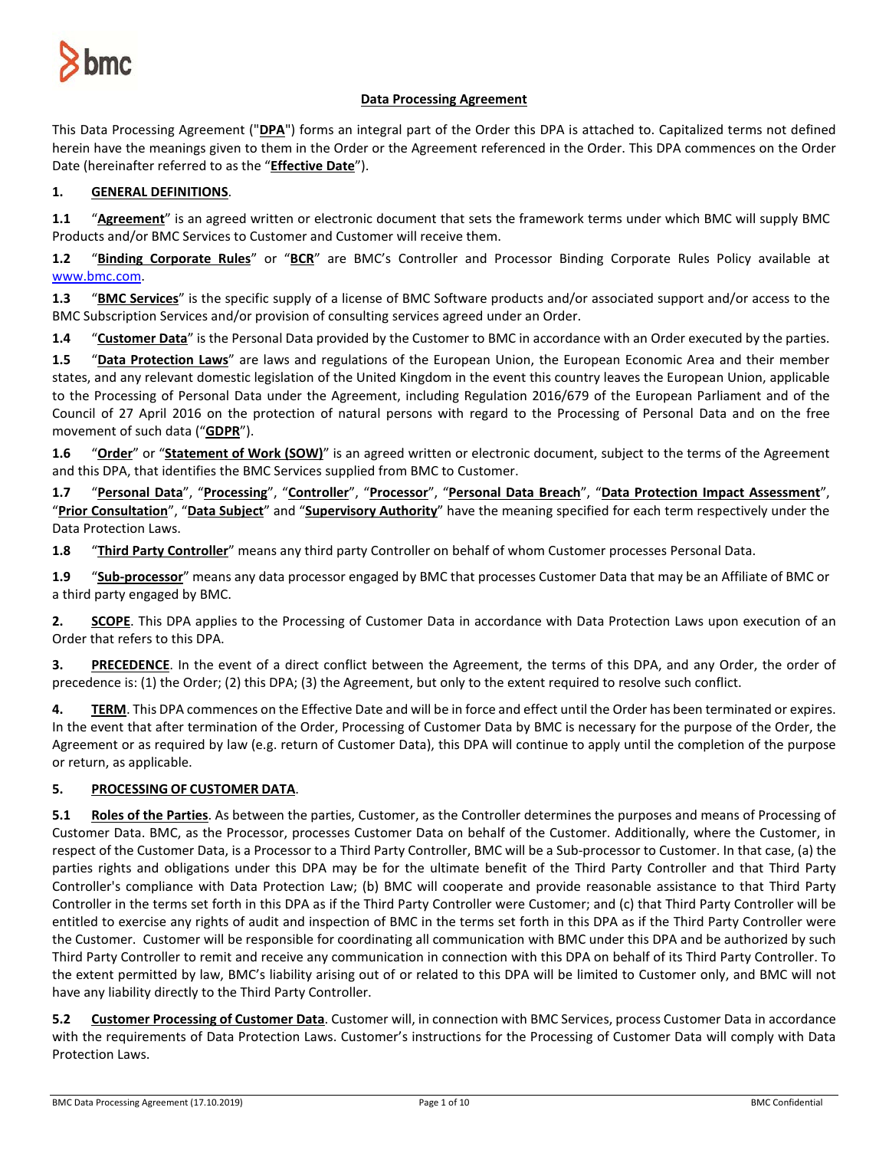

# **Data Processing Agreement**

This Data Processing Agreement ("**DPA**") forms an integral part of the Order this DPA is attached to. Capitalized terms not defined herein have the meanings given to them in the Order or the Agreement referenced in the Order. This DPA commences on the Order Date (hereinafter referred to as the "**Effective Date**").

# **1. GENERAL DEFINITIONS**.

**1.1** "**Agreement**" is an agreed written or electronic document that sets the framework terms under which BMC will supply BMC Products and/or BMC Services to Customer and Customer will receive them.

**1.2** "**Binding Corporate Rules**" or "**BCR**" are BMC's Controller and Processor Binding Corporate Rules Policy available at [www.bmc.com.](http://www.bmc.com/)

**1.3** "**BMC Services**" is the specific supply of a license of BMC Software products and/or associated support and/or access to the BMC Subscription Services and/or provision of consulting services agreed under an Order.

**1.4** "**Customer Data**" is the Personal Data provided by the Customer to BMC in accordance with an Order executed by the parties.

**1.5** "**Data Protection Laws**" are laws and regulations of the European Union, the European Economic Area and their member states, and any relevant domestic legislation of the United Kingdom in the event this country leaves the European Union, applicable to the Processing of Personal Data under the Agreement, including Regulation 2016/679 of the European Parliament and of the Council of 27 April 2016 on the protection of natural persons with regard to the Processing of Personal Data and on the free movement of such data ("**GDPR**").

**1.6** "**Order**" or "**Statement of Work (SOW)**" is an agreed written or electronic document, subject to the terms of the Agreement and this DPA, that identifies the BMC Services supplied from BMC to Customer.

**1.7** "**Personal Data**", "**Processing**", "**Controller**", "**Processor**", "**Personal Data Breach**", "**Data Protection Impact Assessment**", "**Prior Consultation**", "**Data Subject**" and "**Supervisory Authority**" have the meaning specified for each term respectively under the Data Protection Laws.

**1.8** "**Third Party Controller**" means any third party Controller on behalf of whom Customer processes Personal Data.

**1.9** "**Sub-processor**" means any data processor engaged by BMC that processes Customer Data that may be an Affiliate of BMC or a third party engaged by BMC.

**2. SCOPE**. This DPA applies to the Processing of Customer Data in accordance with Data Protection Laws upon execution of an Order that refers to this DPA.

**3. PRECEDENCE**. In the event of a direct conflict between the Agreement, the terms of this DPA, and any Order, the order of precedence is: (1) the Order; (2) this DPA; (3) the Agreement, but only to the extent required to resolve such conflict.

**4. TERM**. This DPA commences on the Effective Date and will be in force and effect until the Order has been terminated or expires. In the event that after termination of the Order, Processing of Customer Data by BMC is necessary for the purpose of the Order, the Agreement or as required by law (e.g. return of Customer Data), this DPA will continue to apply until the completion of the purpose or return, as applicable.

## **5. PROCESSING OF CUSTOMER DATA**.

**5.1 Roles of the Parties**. As between the parties, Customer, as the Controller determines the purposes and means of Processing of Customer Data. BMC, as the Processor, processes Customer Data on behalf of the Customer. Additionally, where the Customer, in respect of the Customer Data, is a Processor to a Third Party Controller, BMC will be a Sub-processor to Customer. In that case, (a) the parties rights and obligations under this DPA may be for the ultimate benefit of the Third Party Controller and that Third Party Controller's compliance with Data Protection Law; (b) BMC will cooperate and provide reasonable assistance to that Third Party Controller in the terms set forth in this DPA as if the Third Party Controller were Customer; and (c) that Third Party Controller will be entitled to exercise any rights of audit and inspection of BMC in the terms set forth in this DPA as if the Third Party Controller were the Customer. Customer will be responsible for coordinating all communication with BMC under this DPA and be authorized by such Third Party Controller to remit and receive any communication in connection with this DPA on behalf of its Third Party Controller. To the extent permitted by law, BMC's liability arising out of or related to this DPA will be limited to Customer only, and BMC will not have any liability directly to the Third Party Controller.

**5.2 Customer Processing of Customer Data**. Customer will, in connection with BMC Services, process Customer Data in accordance with the requirements of Data Protection Laws. Customer's instructions for the Processing of Customer Data will comply with Data Protection Laws.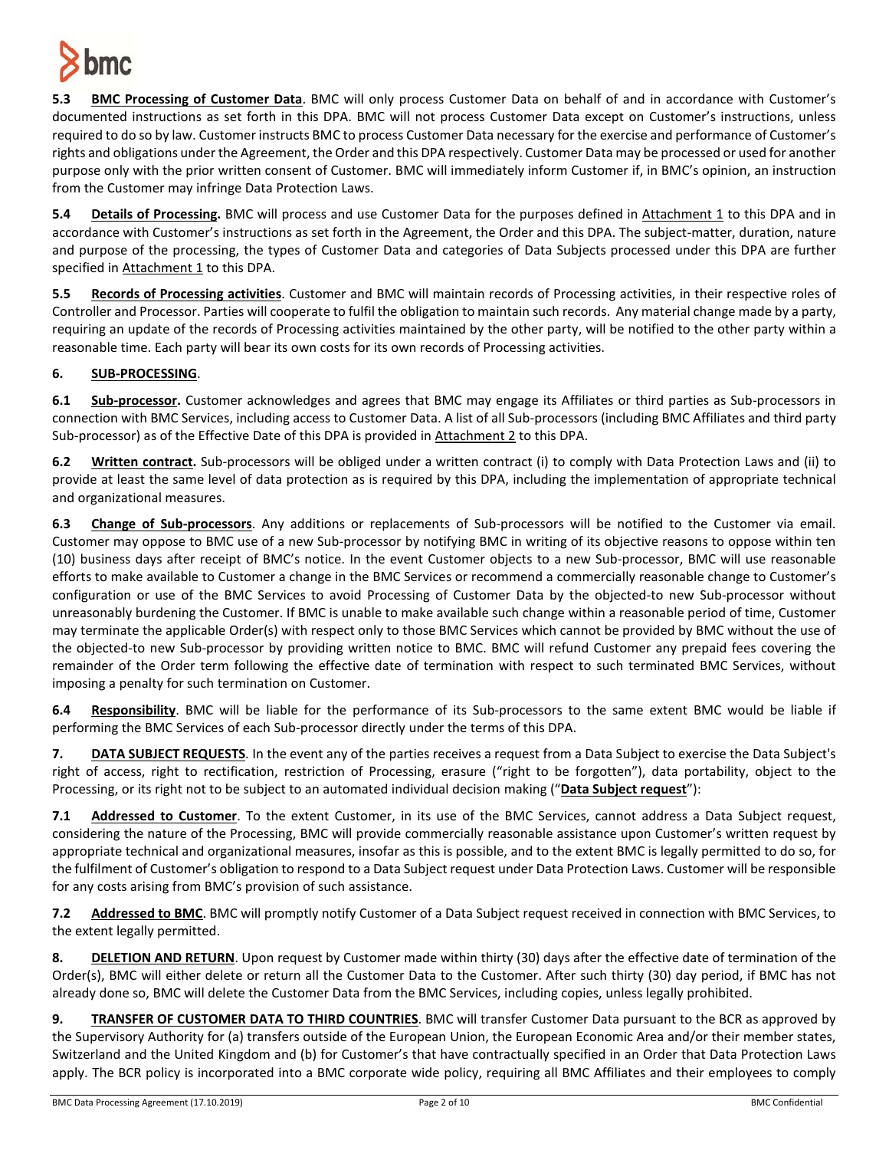

**5.3 BMC Processing of Customer Data**. BMC will only process Customer Data on behalf of and in accordance with Customer's documented instructions as set forth in this DPA. BMC will not process Customer Data except on Customer's instructions, unless required to do so by law. Customer instructs BMC to process Customer Data necessary for the exercise and performance of Customer's rights and obligations under the Agreement, the Order and this DPA respectively. Customer Data may be processed or used for another purpose only with the prior written consent of Customer. BMC will immediately inform Customer if, in BMC's opinion, an instruction from the Customer may infringe Data Protection Laws.

**5.4 Details of Processing.** BMC will process and use Customer Data for the purposes defined in Attachment 1 to this DPA and in accordance with Customer's instructions as set forth in the Agreement, the Order and this DPA. The subject-matter, duration, nature and purpose of the processing, the types of Customer Data and categories of Data Subjects processed under this DPA are further specified in Attachment 1 to this DPA.

**5.5 Records of Processing activities**. Customer and BMC will maintain records of Processing activities, in their respective roles of Controller and Processor. Parties will cooperate to fulfil the obligation to maintain such records. Any material change made by a party, requiring an update of the records of Processing activities maintained by the other party, will be notified to the other party within a reasonable time. Each party will bear its own costs for its own records of Processing activities.

# **6. SUB-PROCESSING**.

**6.1 Sub-processor.** Customer acknowledges and agrees that BMC may engage its Affiliates or third parties as Sub-processors in connection with BMC Services, including access to Customer Data. A list of all Sub-processors (including BMC Affiliates and third party Sub-processor) as of the Effective Date of this DPA is provided in Attachment 2 to this DPA.

**6.2 Written contract.** Sub-processors will be obliged under a written contract (i) to comply with Data Protection Laws and (ii) to provide at least the same level of data protection as is required by this DPA, including the implementation of appropriate technical and organizational measures.

**6.3 Change of Sub-processors**. Any additions or replacements of Sub-processors will be notified to the Customer via email. Customer may oppose to BMC use of a new Sub-processor by notifying BMC in writing of its objective reasons to oppose within ten (10) business days after receipt of BMC's notice. In the event Customer objects to a new Sub-processor, BMC will use reasonable efforts to make available to Customer a change in the BMC Services or recommend a commercially reasonable change to Customer's configuration or use of the BMC Services to avoid Processing of Customer Data by the objected-to new Sub-processor without unreasonably burdening the Customer. If BMC is unable to make available such change within a reasonable period of time, Customer may terminate the applicable Order(s) with respect only to those BMC Services which cannot be provided by BMC without the use of the objected-to new Sub-processor by providing written notice to BMC. BMC will refund Customer any prepaid fees covering the remainder of the Order term following the effective date of termination with respect to such terminated BMC Services, without imposing a penalty for such termination on Customer.

**6.4 Responsibility**. BMC will be liable for the performance of its Sub-processors to the same extent BMC would be liable if performing the BMC Services of each Sub-processor directly under the terms of this DPA.

**7. DATA SUBJECT REQUESTS**. In the event any of the parties receives a request from a Data Subject to exercise the Data Subject's right of access, right to rectification, restriction of Processing, erasure ("right to be forgotten"), data portability, object to the Processing, or its right not to be subject to an automated individual decision making ("**Data Subject request**"):

**7.1 Addressed to Customer**. To the extent Customer, in its use of the BMC Services, cannot address a Data Subject request, considering the nature of the Processing, BMC will provide commercially reasonable assistance upon Customer's written request by appropriate technical and organizational measures, insofar as this is possible, and to the extent BMC is legally permitted to do so, for the fulfilment of Customer's obligation to respond to a Data Subject request under Data Protection Laws. Customer will be responsible for any costs arising from BMC's provision of such assistance.

**7.2 Addressed to BMC**. BMC will promptly notify Customer of a Data Subject request received in connection with BMC Services, to the extent legally permitted.

**8. DELETION AND RETURN**. Upon request by Customer made within thirty (30) days after the effective date of termination of the Order(s), BMC will either delete or return all the Customer Data to the Customer. After such thirty (30) day period, if BMC has not already done so, BMC will delete the Customer Data from the BMC Services, including copies, unless legally prohibited.

**9. TRANSFER OF CUSTOMER DATA TO THIRD COUNTRIES**. BMC will transfer Customer Data pursuant to the BCR as approved by the Supervisory Authority for (a) transfers outside of the European Union, the European Economic Area and/or their member states, Switzerland and the United Kingdom and (b) for Customer's that have contractually specified in an Order that Data Protection Laws apply. The BCR policy is incorporated into a BMC corporate wide policy, requiring all BMC Affiliates and their employees to comply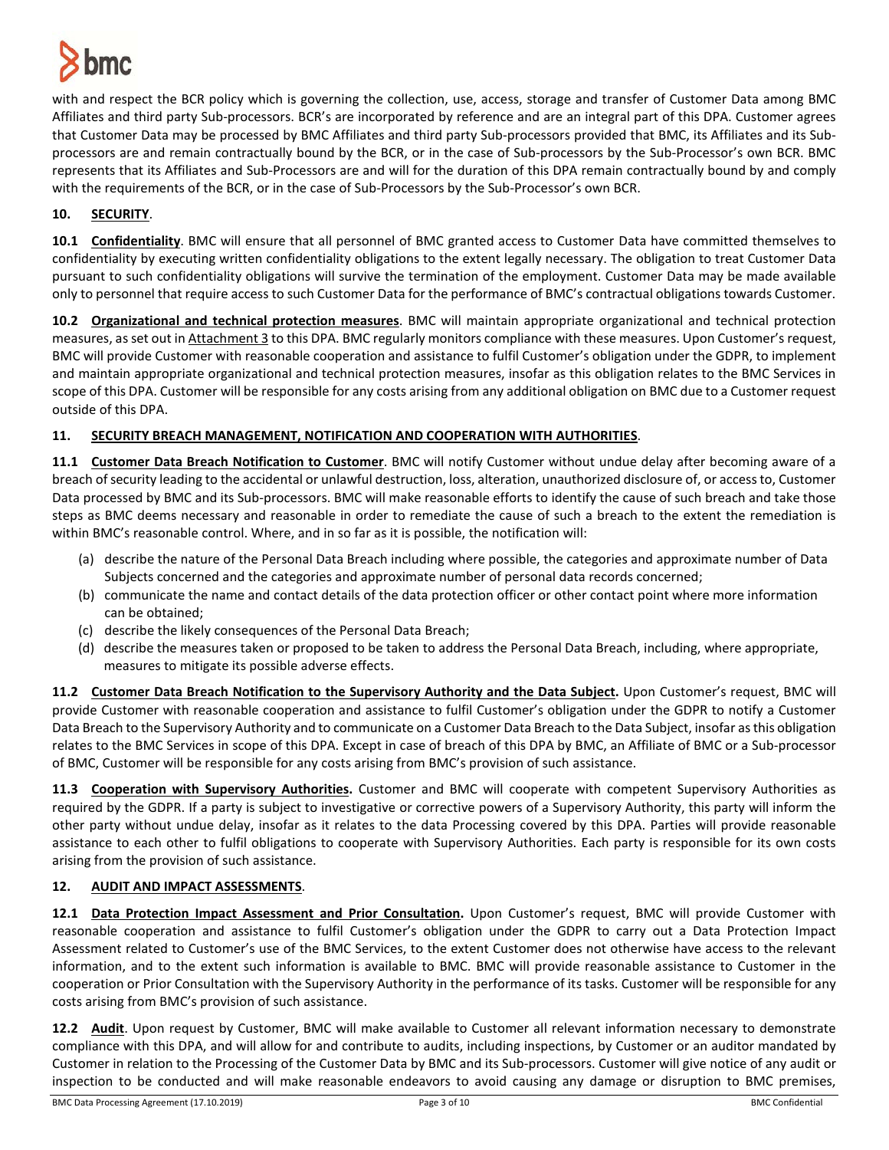

with and respect the BCR policy which is governing the collection, use, access, storage and transfer of Customer Data among BMC Affiliates and third party Sub-processors. BCR's are incorporated by reference and are an integral part of this DPA. Customer agrees that Customer Data may be processed by BMC Affiliates and third party Sub-processors provided that BMC, its Affiliates and its Subprocessors are and remain contractually bound by the BCR, or in the case of Sub-processors by the Sub-Processor's own BCR. BMC represents that its Affiliates and Sub-Processors are and will for the duration of this DPA remain contractually bound by and comply with the requirements of the BCR, or in the case of Sub-Processors by the Sub-Processor's own BCR.

## **10. SECURITY**.

**10.1 Confidentiality**. BMC will ensure that all personnel of BMC granted access to Customer Data have committed themselves to confidentiality by executing written confidentiality obligations to the extent legally necessary. The obligation to treat Customer Data pursuant to such confidentiality obligations will survive the termination of the employment. Customer Data may be made available only to personnel that require access to such Customer Data for the performance of BMC's contractual obligations towards Customer.

**10.2 Organizational and technical protection measures**. BMC will maintain appropriate organizational and technical protection measures, as set out in Attachment 3 to this DPA. BMC regularly monitors compliance with these measures. Upon Customer's request, BMC will provide Customer with reasonable cooperation and assistance to fulfil Customer's obligation under the GDPR, to implement and maintain appropriate organizational and technical protection measures, insofar as this obligation relates to the BMC Services in scope of this DPA. Customer will be responsible for any costs arising from any additional obligation on BMC due to a Customer request outside of this DPA.

## **11. SECURITY BREACH MANAGEMENT, NOTIFICATION AND COOPERATION WITH AUTHORITIES**.

**11.1 Customer Data Breach Notification to Customer**. BMC will notify Customer without undue delay after becoming aware of a breach of security leading to the accidental or unlawful destruction, loss, alteration, unauthorized disclosure of, or accessto, Customer Data processed by BMC and its Sub-processors. BMC will make reasonable efforts to identify the cause of such breach and take those steps as BMC deems necessary and reasonable in order to remediate the cause of such a breach to the extent the remediation is within BMC's reasonable control. Where, and in so far as it is possible, the notification will:

- (a) describe the nature of the Personal Data Breach including where possible, the categories and approximate number of Data Subjects concerned and the categories and approximate number of personal data records concerned;
- (b) communicate the name and contact details of the data protection officer or other contact point where more information can be obtained;
- (c) describe the likely consequences of the Personal Data Breach;
- (d) describe the measures taken or proposed to be taken to address the Personal Data Breach, including, where appropriate, measures to mitigate its possible adverse effects.

**11.2 Customer Data Breach Notification to the Supervisory Authority and the Data Subject.** Upon Customer's request, BMC will provide Customer with reasonable cooperation and assistance to fulfil Customer's obligation under the GDPR to notify a Customer Data Breach to the Supervisory Authority and to communicate on a Customer Data Breach to the Data Subject, insofar as this obligation relates to the BMC Services in scope of this DPA. Except in case of breach of this DPA by BMC, an Affiliate of BMC or a Sub-processor of BMC, Customer will be responsible for any costs arising from BMC's provision of such assistance.

**11.3 Cooperation with Supervisory Authorities.** Customer and BMC will cooperate with competent Supervisory Authorities as required by the GDPR. If a party is subject to investigative or corrective powers of a Supervisory Authority, this party will inform the other party without undue delay, insofar as it relates to the data Processing covered by this DPA. Parties will provide reasonable assistance to each other to fulfil obligations to cooperate with Supervisory Authorities. Each party is responsible for its own costs arising from the provision of such assistance.

## **12. AUDIT AND IMPACT ASSESSMENTS**.

**12.1 Data Protection Impact Assessment and Prior Consultation.** Upon Customer's request, BMC will provide Customer with reasonable cooperation and assistance to fulfil Customer's obligation under the GDPR to carry out a Data Protection Impact Assessment related to Customer's use of the BMC Services, to the extent Customer does not otherwise have access to the relevant information, and to the extent such information is available to BMC. BMC will provide reasonable assistance to Customer in the cooperation or Prior Consultation with the Supervisory Authority in the performance of its tasks. Customer will be responsible for any costs arising from BMC's provision of such assistance.

**12.2 Audit**. Upon request by Customer, BMC will make available to Customer all relevant information necessary to demonstrate compliance with this DPA, and will allow for and contribute to audits, including inspections, by Customer or an auditor mandated by Customer in relation to the Processing of the Customer Data by BMC and its Sub-processors. Customer will give notice of any audit or inspection to be conducted and will make reasonable endeavors to avoid causing any damage or disruption to BMC premises,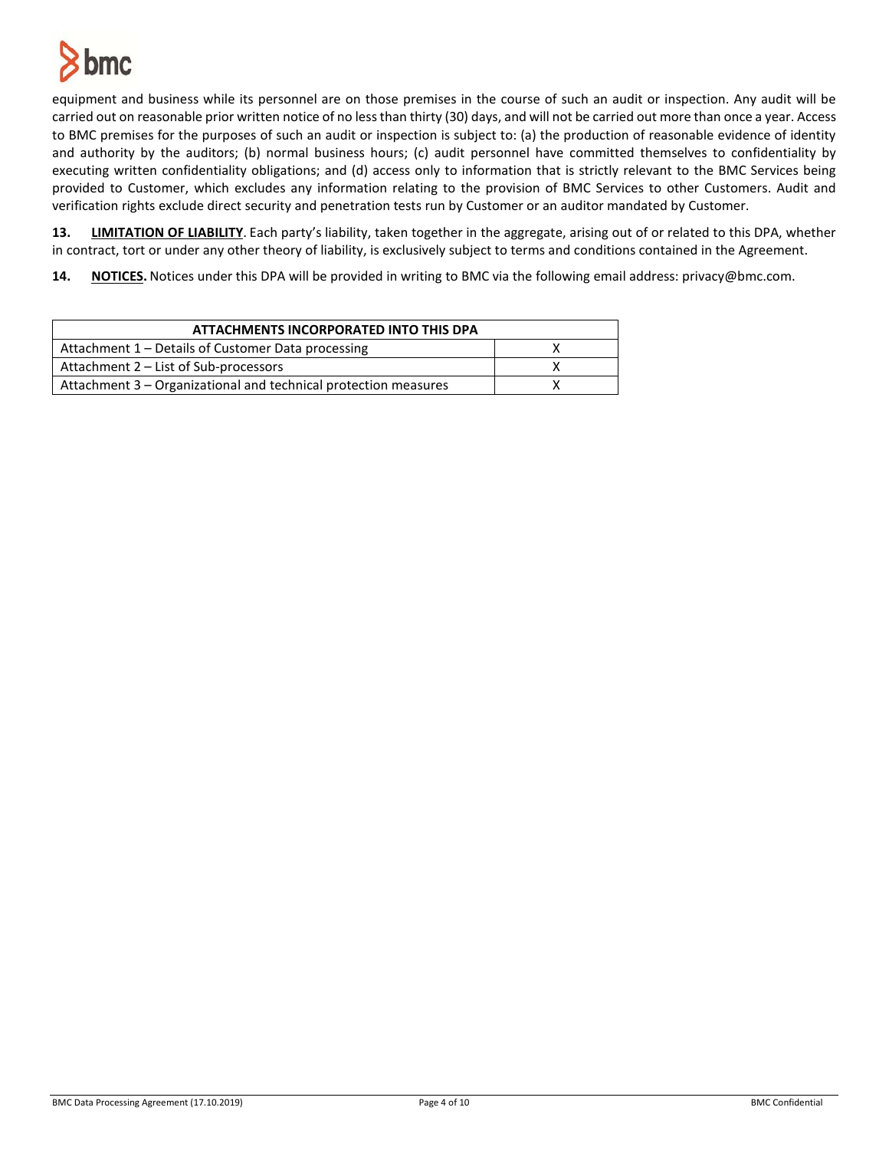

equipment and business while its personnel are on those premises in the course of such an audit or inspection. Any audit will be carried out on reasonable prior written notice of no less than thirty (30) days, and will not be carried out more than once a year. Access to BMC premises for the purposes of such an audit or inspection is subject to: (a) the production of reasonable evidence of identity and authority by the auditors; (b) normal business hours; (c) audit personnel have committed themselves to confidentiality by executing written confidentiality obligations; and (d) access only to information that is strictly relevant to the BMC Services being provided to Customer, which excludes any information relating to the provision of BMC Services to other Customers. Audit and verification rights exclude direct security and penetration tests run by Customer or an auditor mandated by Customer.

**13. LIMITATION OF LIABILITY**. Each party's liability, taken together in the aggregate, arising out of or related to this DPA, whether in contract, tort or under any other theory of liability, is exclusively subject to terms and conditions contained in the Agreement.

**14. NOTICES.** Notices under this DPA will be provided in writing to BMC via the following email address: privacy@bmc.com.

| ATTACHMENTS INCORPORATED INTO THIS DPA                          |  |
|-----------------------------------------------------------------|--|
| Attachment 1 – Details of Customer Data processing              |  |
| Attachment 2 – List of Sub-processors                           |  |
| Attachment 3 – Organizational and technical protection measures |  |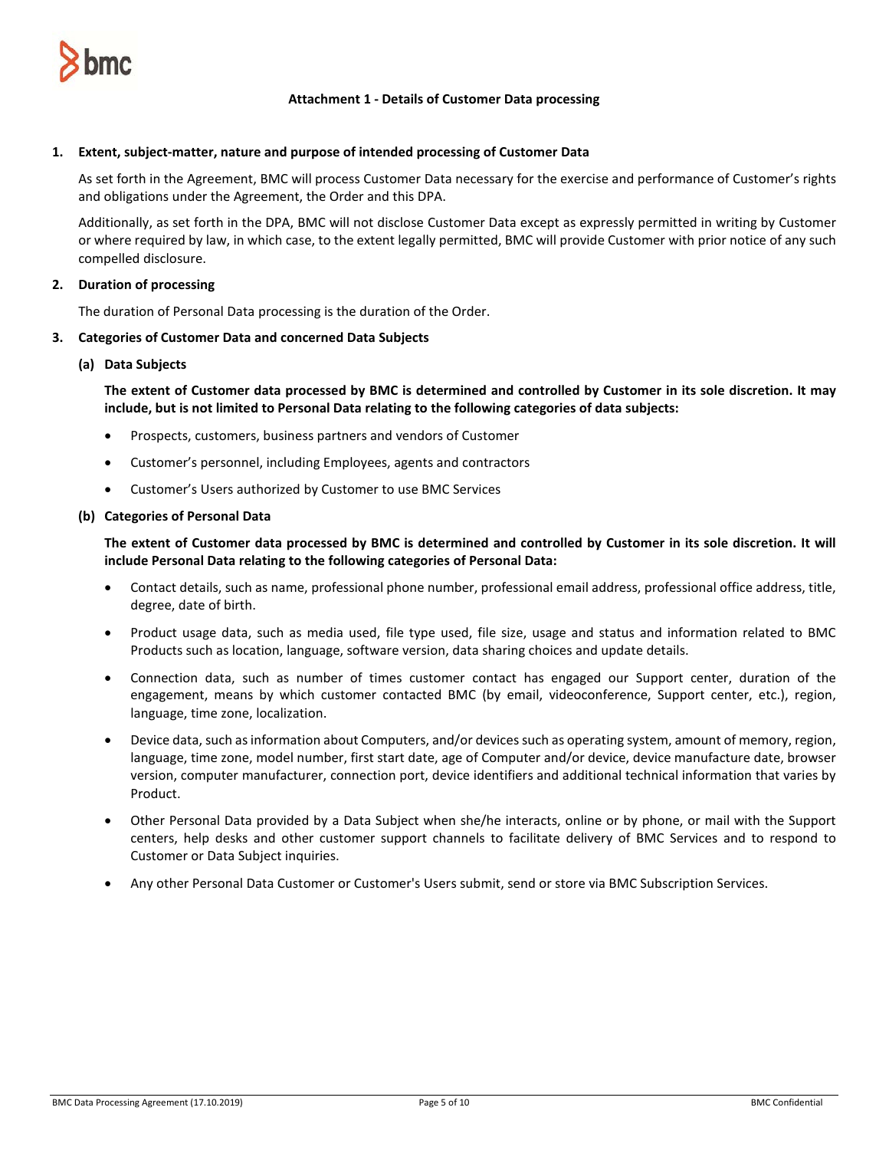

## **Attachment 1 - Details of Customer Data processing**

### **1. Extent, subject-matter, nature and purpose of intended processing of Customer Data**

As set forth in the Agreement, BMC will process Customer Data necessary for the exercise and performance of Customer's rights and obligations under the Agreement, the Order and this DPA.

Additionally, as set forth in the DPA, BMC will not disclose Customer Data except as expressly permitted in writing by Customer or where required by law, in which case, to the extent legally permitted, BMC will provide Customer with prior notice of any such compelled disclosure.

## **2. Duration of processing**

The duration of Personal Data processing is the duration of the Order.

#### **3. Categories of Customer Data and concerned Data Subjects**

#### **(a) Data Subjects**

**The extent of Customer data processed by BMC is determined and controlled by Customer in its sole discretion. It may include, but is not limited to Personal Data relating to the following categories of data subjects:**

- Prospects, customers, business partners and vendors of Customer
- Customer's personnel, including Employees, agents and contractors
- Customer's Users authorized by Customer to use BMC Services

#### **(b) Categories of Personal Data**

**The extent of Customer data processed by BMC is determined and controlled by Customer in its sole discretion. It will include Personal Data relating to the following categories of Personal Data:**

- Contact details, such as name, professional phone number, professional email address, professional office address, title, degree, date of birth.
- Product usage data, such as media used, file type used, file size, usage and status and information related to BMC Products such as location, language, software version, data sharing choices and update details.
- Connection data, such as number of times customer contact has engaged our Support center, duration of the engagement, means by which customer contacted BMC (by email, videoconference, Support center, etc.), region, language, time zone, localization.
- Device data, such as information about Computers, and/or devices such as operating system, amount of memory, region, language, time zone, model number, first start date, age of Computer and/or device, device manufacture date, browser version, computer manufacturer, connection port, device identifiers and additional technical information that varies by Product.
- Other Personal Data provided by a Data Subject when she/he interacts, online or by phone, or mail with the Support centers, help desks and other customer support channels to facilitate delivery of BMC Services and to respond to Customer or Data Subject inquiries.
- Any other Personal Data Customer or Customer's Users submit, send or store via BMC Subscription Services.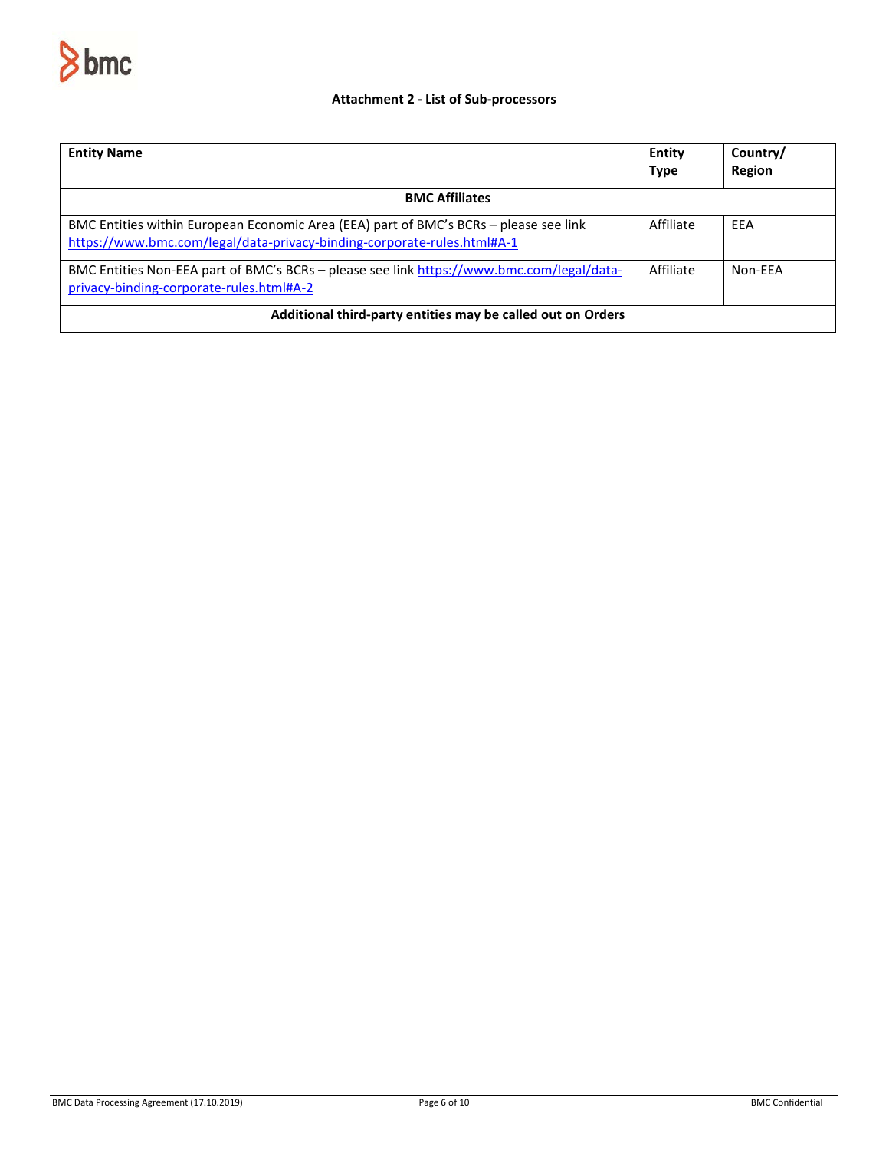

## **Attachment 2 - List of Sub-processors**

| <b>Entity Name</b>                                                                                                                                               | Entity<br><b>Type</b> | Country/<br>Region |  |
|------------------------------------------------------------------------------------------------------------------------------------------------------------------|-----------------------|--------------------|--|
| <b>BMC Affiliates</b>                                                                                                                                            |                       |                    |  |
| BMC Entities within European Economic Area (EEA) part of BMC's BCRs – please see link<br>https://www.bmc.com/legal/data-privacy-binding-corporate-rules.html#A-1 | Affiliate             | EEA                |  |
| BMC Entities Non-EEA part of BMC's BCRs - please see link https://www.bmc.com/legal/data-<br>privacy-binding-corporate-rules.html#A-2                            | Affiliate             | Non-FFA            |  |
| Additional third-party entities may be called out on Orders                                                                                                      |                       |                    |  |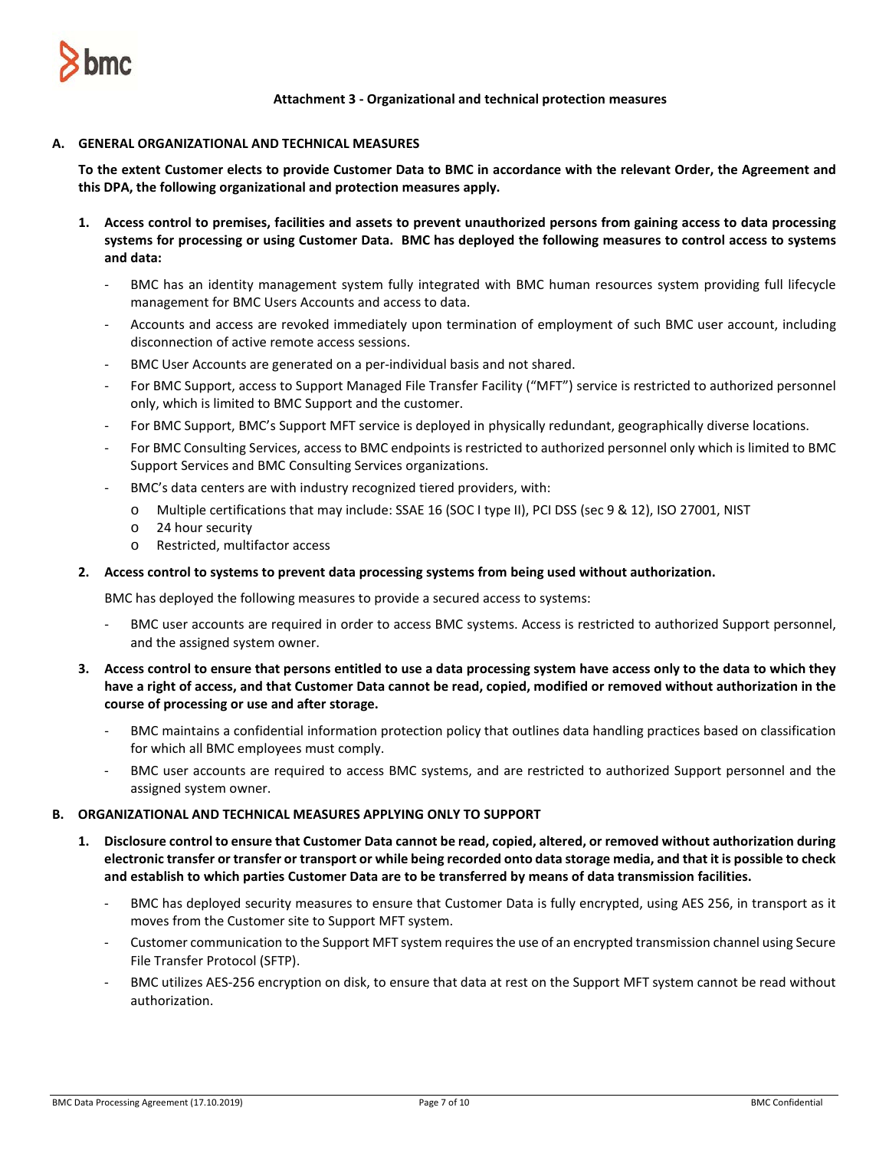

**Attachment 3 - Organizational and technical protection measures**

### **A. GENERAL ORGANIZATIONAL AND TECHNICAL MEASURES**

**To the extent Customer elects to provide Customer Data to BMC in accordance with the relevant Order, the Agreement and this DPA, the following organizational and protection measures apply.** 

- **1. Access control to premises, facilities and assets to prevent unauthorized persons from gaining access to data processing systems for processing or using Customer Data. BMC has deployed the following measures to control access to systems and data:**
	- BMC has an identity management system fully integrated with BMC human resources system providing full lifecycle management for BMC Users Accounts and access to data.
	- Accounts and access are revoked immediately upon termination of employment of such BMC user account, including disconnection of active remote access sessions.
	- BMC User Accounts are generated on a per-individual basis and not shared.
	- For BMC Support, access to Support Managed File Transfer Facility ("MFT") service is restricted to authorized personnel only, which is limited to BMC Support and the customer.
	- For BMC Support, BMC's Support MFT service is deployed in physically redundant, geographically diverse locations.
	- For BMC Consulting Services, access to BMC endpoints is restricted to authorized personnel only which is limited to BMC Support Services and BMC Consulting Services organizations.
	- BMC's data centers are with industry recognized tiered providers, with:
		- o Multiple certifications that may include: SSAE 16 (SOC I type II), PCI DSS (sec 9 & 12), ISO 27001, NIST
		- o 24 hour security
		- o Restricted, multifactor access

#### **2. Access control to systems to prevent data processing systems from being used without authorization.**

BMC has deployed the following measures to provide a secured access to systems:

- BMC user accounts are required in order to access BMC systems. Access is restricted to authorized Support personnel, and the assigned system owner.
- **3. Access control to ensure that persons entitled to use a data processing system have access only to the data to which they have a right of access, and that Customer Data cannot be read, copied, modified or removed without authorization in the course of processing or use and after storage.**
	- BMC maintains a confidential information protection policy that outlines data handling practices based on classification for which all BMC employees must comply.
	- BMC user accounts are required to access BMC systems, and are restricted to authorized Support personnel and the assigned system owner.

### **B. ORGANIZATIONAL AND TECHNICAL MEASURES APPLYING ONLY TO SUPPORT**

- **1. Disclosure control to ensure that Customer Data cannot be read, copied, altered, or removed without authorization during electronic transfer or transfer or transport or while being recorded onto data storage media, and that it is possible to check and establish to which parties Customer Data are to be transferred by means of data transmission facilities.** 
	- BMC has deployed security measures to ensure that Customer Data is fully encrypted, using AES 256, in transport as it moves from the Customer site to Support MFT system.
	- Customer communication to the Support MFT system requires the use of an encrypted transmission channel using Secure File Transfer Protocol (SFTP).
	- BMC utilizes AES-256 encryption on disk, to ensure that data at rest on the Support MFT system cannot be read without authorization.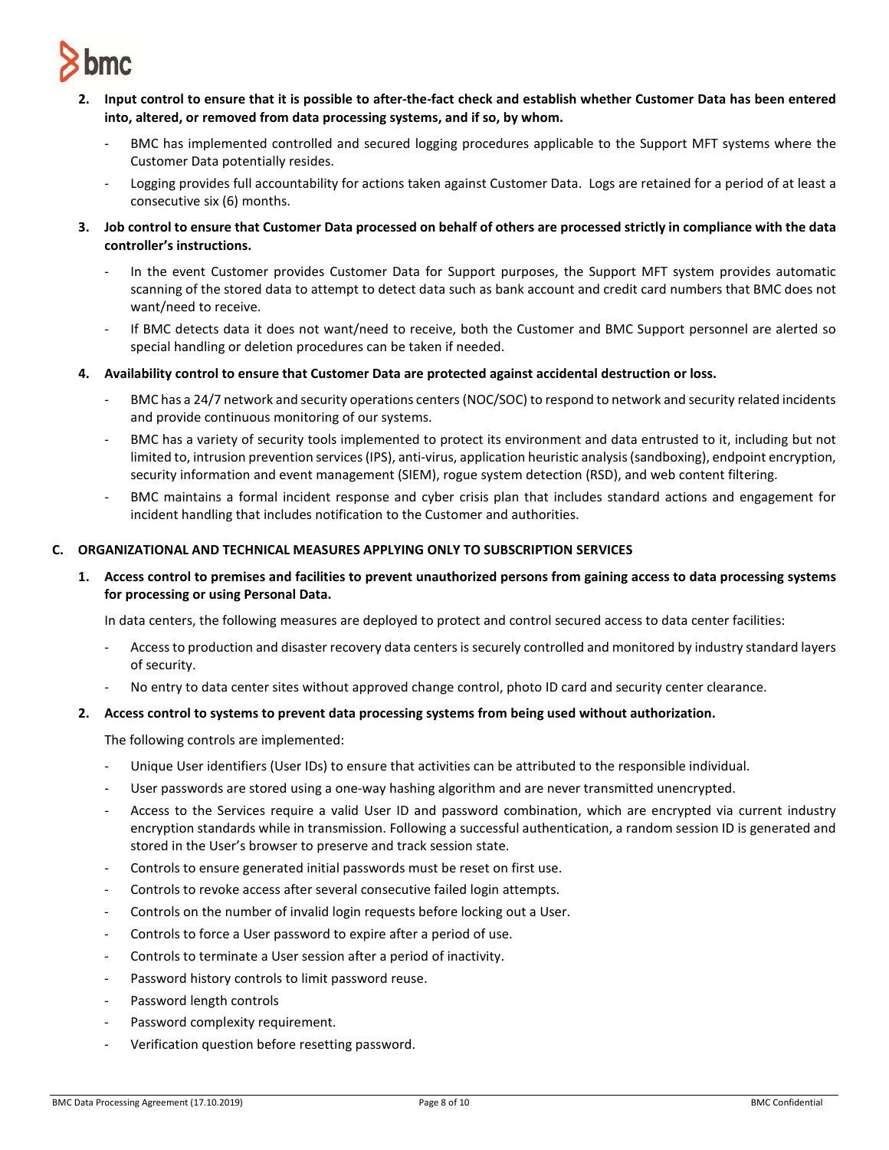

- **2. Input control to ensure that it is possible to after-the-fact check and establish whether Customer Data has been entered into, altered, or removed from data processing systems, and if so, by whom.** 
	- BMC has implemented controlled and secured logging procedures applicable to the Support MFT systems where the Customer Data potentially resides.
	- Logging provides full accountability for actions taken against Customer Data. Logs are retained for a period of at least a consecutive six (6) months.
- **3. Job control to ensure that Customer Data processed on behalf of others are processed strictly in compliance with the data controller's instructions.** 
	- In the event Customer provides Customer Data for Support purposes, the Support MFT system provides automatic scanning of the stored data to attempt to detect data such as bank account and credit card numbers that BMC does not want/need to receive.
	- If BMC detects data it does not want/need to receive, both the Customer and BMC Support personnel are alerted so special handling or deletion procedures can be taken if needed.
- **4. Availability control to ensure that Customer Data are protected against accidental destruction or loss.** 
	- BMC has a 24/7 network and security operations centers (NOC/SOC) to respond to network and security related incidents and provide continuous monitoring of our systems.
	- BMC has a variety of security tools implemented to protect its environment and data entrusted to it, including but not limited to, intrusion prevention services (IPS), anti-virus, application heuristic analysis (sandboxing), endpoint encryption, security information and event management (SIEM), rogue system detection (RSD), and web content filtering.
	- BMC maintains a formal incident response and cyber crisis plan that includes standard actions and engagement for incident handling that includes notification to the Customer and authorities.

## **C. ORGANIZATIONAL AND TECHNICAL MEASURES APPLYING ONLY TO SUBSCRIPTION SERVICES**

**1. Access control to premises and facilities to prevent unauthorized persons from gaining access to data processing systems for processing or using Personal Data.**

In data centers, the following measures are deployed to protect and control secured access to data center facilities:

- Access to production and disaster recovery data centers is securely controlled and monitored by industry standard layers of security.
- No entry to data center sites without approved change control, photo ID card and security center clearance.

### **2. Access control to systems to prevent data processing systems from being used without authorization.**

The following controls are implemented:

- Unique User identifiers (User IDs) to ensure that activities can be attributed to the responsible individual.
- User passwords are stored using a one-way hashing algorithm and are never transmitted unencrypted.
- Access to the Services require a valid User ID and password combination, which are encrypted via current industry encryption standards while in transmission. Following a successful authentication, a random session ID is generated and stored in the User's browser to preserve and track session state.
- Controls to ensure generated initial passwords must be reset on first use.
- Controls to revoke access after several consecutive failed login attempts.
- Controls on the number of invalid login requests before locking out a User.
- Controls to force a User password to expire after a period of use.
- Controls to terminate a User session after a period of inactivity.
- Password history controls to limit password reuse.
- Password length controls
- Password complexity requirement.
- Verification question before resetting password.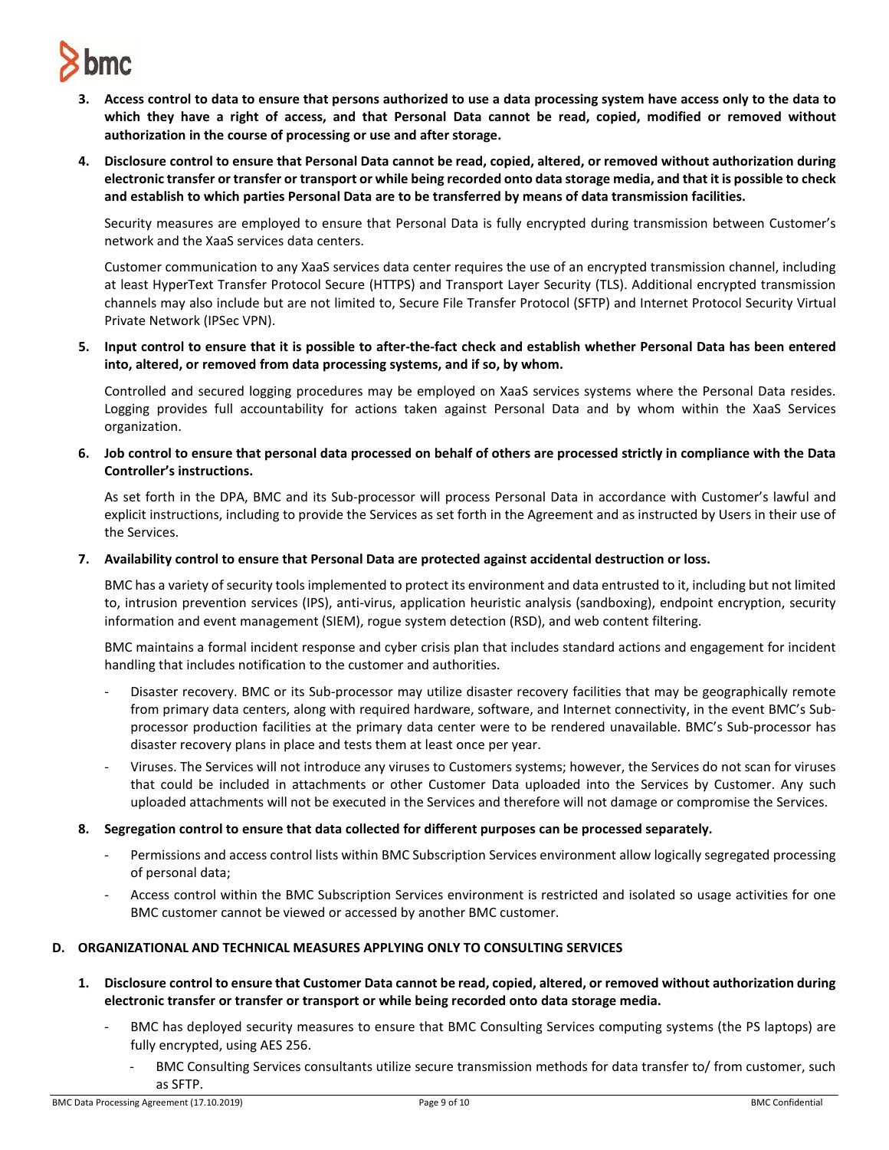

- **3. Access control to data to ensure that persons authorized to use a data processing system have access only to the data to which they have a right of access, and that Personal Data cannot be read, copied, modified or removed without authorization in the course of processing or use and after storage.**
- **4. Disclosure control to ensure that Personal Data cannot be read, copied, altered, or removed without authorization during electronic transfer or transfer or transport or while being recorded onto data storage media, and that it is possible to check and establish to which parties Personal Data are to be transferred by means of data transmission facilities.**

Security measures are employed to ensure that Personal Data is fully encrypted during transmission between Customer's network and the XaaS services data centers.

Customer communication to any XaaS services data center requires the use of an encrypted transmission channel, including at least HyperText Transfer Protocol Secure (HTTPS) and Transport Layer Security (TLS). Additional encrypted transmission channels may also include but are not limited to, Secure File Transfer Protocol (SFTP) and Internet Protocol Security Virtual Private Network (IPSec VPN).

**5. Input control to ensure that it is possible to after-the-fact check and establish whether Personal Data has been entered into, altered, or removed from data processing systems, and if so, by whom.**

Controlled and secured logging procedures may be employed on XaaS services systems where the Personal Data resides. Logging provides full accountability for actions taken against Personal Data and by whom within the XaaS Services organization.

**6. Job control to ensure that personal data processed on behalf of others are processed strictly in compliance with the Data Controller's instructions.**

As set forth in the DPA, BMC and its Sub-processor will process Personal Data in accordance with Customer's lawful and explicit instructions, including to provide the Services as set forth in the Agreement and as instructed by Users in their use of the Services.

**7. Availability control to ensure that Personal Data are protected against accidental destruction or loss.**

BMC has a variety of security tools implemented to protect its environment and data entrusted to it, including but not limited to, intrusion prevention services (IPS), anti-virus, application heuristic analysis (sandboxing), endpoint encryption, security information and event management (SIEM), rogue system detection (RSD), and web content filtering.

BMC maintains a formal incident response and cyber crisis plan that includes standard actions and engagement for incident handling that includes notification to the customer and authorities.

- Disaster recovery. BMC or its Sub-processor may utilize disaster recovery facilities that may be geographically remote from primary data centers, along with required hardware, software, and Internet connectivity, in the event BMC's Subprocessor production facilities at the primary data center were to be rendered unavailable. BMC's Sub-processor has disaster recovery plans in place and tests them at least once per year.
- Viruses. The Services will not introduce any viruses to Customers systems; however, the Services do not scan for viruses that could be included in attachments or other Customer Data uploaded into the Services by Customer. Any such uploaded attachments will not be executed in the Services and therefore will not damage or compromise the Services.
- **8. Segregation control to ensure that data collected for different purposes can be processed separately.** 
	- Permissions and access control lists within BMC Subscription Services environment allow logically segregated processing of personal data;
	- Access control within the BMC Subscription Services environment is restricted and isolated so usage activities for one BMC customer cannot be viewed or accessed by another BMC customer.

### **D. ORGANIZATIONAL AND TECHNICAL MEASURES APPLYING ONLY TO CONSULTING SERVICES**

- **1. Disclosure control to ensure that Customer Data cannot be read, copied, altered, or removed without authorization during electronic transfer or transfer or transport or while being recorded onto data storage media.**
	- BMC has deployed security measures to ensure that BMC Consulting Services computing systems (the PS laptops) are fully encrypted, using AES 256.
		- BMC Consulting Services consultants utilize secure transmission methods for data transfer to/ from customer, such as SFTP.